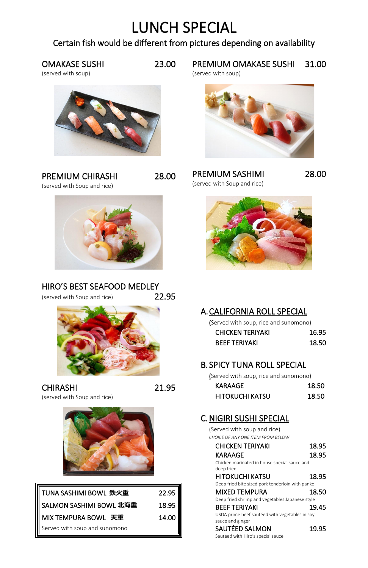# LUNCH SPECIAL

## Certain fish would be different from pictures depending on availability

## OMAKASE SUSHI 23.00

PREMIUM CHIRASHI 28.00 (served with Soup and rice)



(served with soup)



#### HIRO'S BEST SEAFOOD MEDLEY (served with Soup and rice) 22.95



PREMIUM SASHIMI 28.00 (served with Soup and rice)



CHIRASHI 21.95 (served with Soup and rice)



PREMIUM OMAKASE SUSHI 31.00

| TUNA SASHIMI BOWL 鉄火重         | 22.95 |
|-------------------------------|-------|
| SALMON SASHIMI BOWL 北海重       | 18.95 |
| Ⅱ MIX TEMPURA BOWL 天重         | 14.00 |
| Served with soup and sunomono |       |

#### C. NIGIRI SUSHI SPECIAL

(served with soup)



## A.CALIFORNIA ROLL SPECIAL

(Served with soup, rice and sunomono)

| <b>CHICKEN TERIYAKI</b> | 16.95 |
|-------------------------|-------|
| <b>BEEF TERIYAKI</b>    | 18.50 |

## B. SPICY TUNA ROLL SPECIAL

(Served with soup, rice and sunomono)

| KARAAGE                | 18.50 |
|------------------------|-------|
| <b>HITOKUCHI KATSU</b> | 18.50 |

(Served with soup and rice)

*CHOICE OF ANY ONE ITEM FROM BELOW*

| <b>CHICKEN TERIYAKI</b> | 18.95 |
|-------------------------|-------|
| KARAAGE                 | 18.95 |

Chicken marinated in house special sauce and deep fried

HITOKUCHI KATSU 18.95

Deep fried bite sized pork tenderloin with panko

#### MIXED TEMPURA 18.50

Deep fried shrimp and vegetables Japanese style

BEEF TERIYAKI 19.45

USDA prime beef sautéed with vegetables in soy

sauce and ginger

SAUTÉED SALMON 19.95

Sautéed with Hiro's special sauce